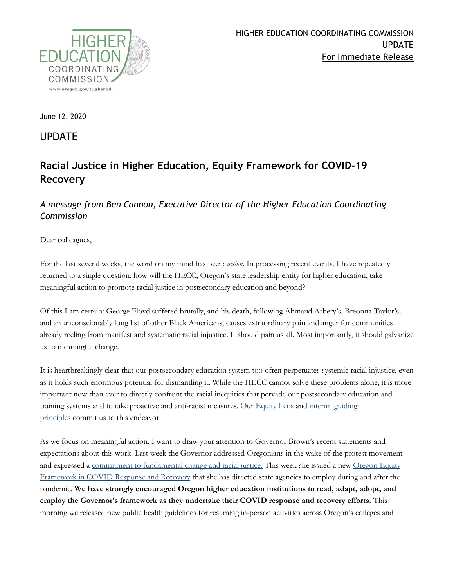

June 12, 2020

UPDATE

# **Racial Justice in Higher Education, Equity Framework for COVID-19 Recovery**

### *A message from Ben Cannon, Executive Director of the Higher Education Coordinating Commission*

Dear colleagues,

For the last several weeks, the word on my mind has been: *action*. In processing recent events, I have repeatedly returned to a single question: how will the HECC, Oregon's state leadership entity for higher education, take meaningful action to promote racial justice in postsecondary education and beyond?

Of this I am certain: George Floyd suffered brutally, and his death, following Ahmaud Arbery's, Breonna Taylor's, and an unconscionably long list of other Black Americans, causes extraordinary pain and anger for communities already reeling from manifest and systematic racial injustice. It should pain us all. Most importantly, it should galvanize us to meaningful change.

It is heartbreakingly clear that our postsecondary education system too often perpetuates systemic racial injustice, even as it holds such enormous potential for dismantling it. While the HECC cannot solve these problems alone, it is more important now than ever to directly confront the racial inequities that pervade our postsecondary education and training systems and to take proactive and anti-racist measures. Our [Equity Lens](https://www.oregon.gov/highered/about/Documents/State-Goals/HECC-Equity-Lens-2017-reformat.pdf) and [interim guiding](https://www.oregon.gov/highered/about/Documents/News-Updates/Roadmap-Preliminary-Guiding%20Principles.pdf)  [principles](https://www.oregon.gov/highered/about/Documents/News-Updates/Roadmap-Preliminary-Guiding%20Principles.pdf) commit us to this endeavor.

As we focus on meaningful action, I want to draw your attention to Governor Brown's recent statements and expectations about this work. Last week the Governor addressed Oregonians in the wake of the protest movement and expressed a [commitment to fundamental change and racial justice.](https://www.myoregon.gov/2020/06/04/oregon-resources-racial-justice/) This week she issued a new [Oregon Equity](https://www.oregon.gov/gov/policy/Documents/EquityFrameworkCovid19_2020.pdf)  [Framework in COVID Response and Recovery](https://www.oregon.gov/gov/policy/Documents/EquityFrameworkCovid19_2020.pdf) that she has directed state agencies to employ during and after the pandemic. **We have strongly encouraged Oregon higher education institutions to read, adapt, adopt, and employ the Governor's framework as they undertake their COVID response and recovery efforts.** This morning we released new public health guidelines for resuming in-person activities across Oregon's colleges and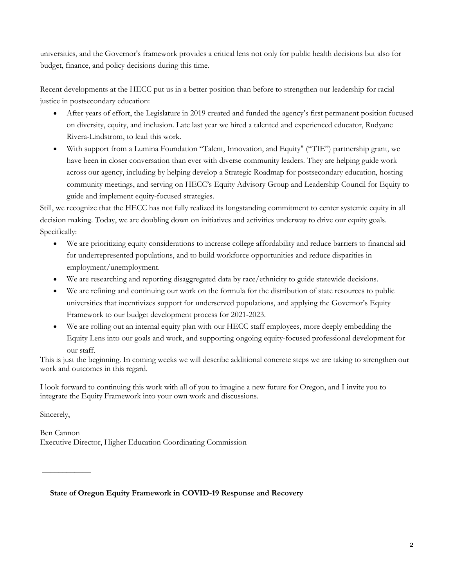universities, and the Governor's framework provides a critical lens not only for public health decisions but also for budget, finance, and policy decisions during this time.

Recent developments at the HECC put us in a better position than before to strengthen our leadership for racial justice in postsecondary education:

- After years of effort, the Legislature in 2019 created and funded the agency's first permanent position focused on diversity, equity, and inclusion. Late last year we hired a talented and experienced educator, Rudyane Rivera-Lindstrom, to lead this work.
- With support from a Lumina Foundation "Talent, Innovation, and Equity" ("TIE") partnership grant, we have been in closer conversation than ever with diverse community leaders. They are helping guide work across our agency, including by helping develop a Strategic Roadmap for postsecondary education, hosting community meetings, and serving on HECC's Equity Advisory Group and Leadership Council for Equity to guide and implement equity-focused strategies.

Still, we recognize that the HECC has not fully realized its longstanding commitment to center systemic equity in all decision making. Today, we are doubling down on initiatives and activities underway to drive our equity goals. Specifically:

- We are prioritizing equity considerations to increase college affordability and reduce barriers to financial aid for underrepresented populations, and to build workforce opportunities and reduce disparities in employment/unemployment.
- We are researching and reporting disaggregated data by race/ethnicity to guide statewide decisions.
- We are refining and continuing our work on the formula for the distribution of state resources to public universities that incentivizes support for underserved populations, and applying the Governor's Equity Framework to our budget development process for 2021-2023.
- We are rolling out an internal equity plan with our HECC staff employees, more deeply embedding the Equity Lens into our goals and work, and supporting ongoing equity-focused professional development for our staff.

This is just the beginning. In coming weeks we will describe additional concrete steps we are taking to strengthen our work and outcomes in this regard.

I look forward to continuing this work with all of you to imagine a new future for Oregon, and I invite you to integrate the Equity Framework into your own work and discussions.

Sincerely,

**\_\_\_\_\_\_\_\_\_\_\_\_**

Ben Cannon Executive Director, Higher Education Coordinating Commission

**State of Oregon Equity Framework in COVID-19 Response and Recovery**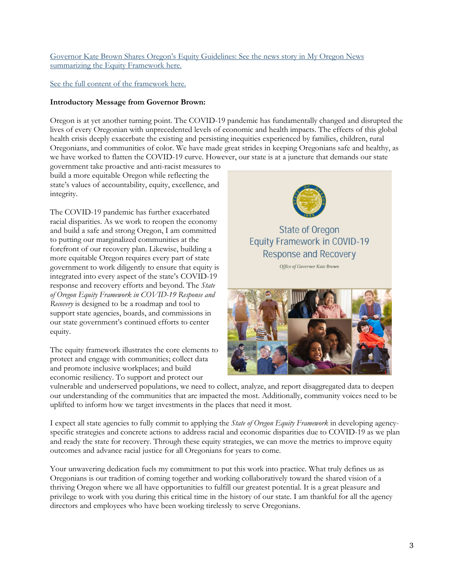#### [Governor Kate Brown Shares Oregon's Equity Guidelines: See the news story in My Oregon News](https://www.myoregon.gov/2020/06/11/oregons-equity-guidelines/)  [summarizing the Equity Framework here.](https://www.myoregon.gov/2020/06/11/oregons-equity-guidelines/)

#### [See the full content of the framework here.](https://www.oregon.gov/gov/policy/Documents/EquityFrameworkCovid19_2020.pdf)

#### **Introductory Message from Governor Brown:**

Oregon is at yet another turning point. The COVID-19 pandemic has fundamentally changed and disrupted the lives of every Oregonian with unprecedented levels of economic and health impacts. The effects of this global health crisis deeply exacerbate the existing and persisting inequities experienced by families, children, rural Oregonians, and communities of color. We have made great strides in keeping Oregonians safe and healthy, as we have worked to flatten the COVID-19 curve. However, our state is at a juncture that demands our state

government take proactive and anti-racist measures to build a more equitable Oregon while reflecting the state's values of accountability, equity, excellence, and integrity.

The COVID-19 pandemic has further exacerbated racial disparities. As we work to reopen the economy and build a safe and strong Oregon, I am committed to putting our marginalized communities at the forefront of our recovery plan. Likewise, building a more equitable Oregon requires every part of state government to work diligently to ensure that equity is integrated into every aspect of the state's COVID-19 response and recovery efforts and beyond. The *State of Oregon Equity Framework in COVID-19 Response and Recovery* is designed to be a roadmap and tool to support state agencies, boards, and commissions in our state government's continued efforts to center equity.

The equity framework illustrates the core elements to protect and engage with communities; collect data and promote inclusive workplaces; and build economic resiliency. To support and protect our



## **State of Oregon Equity Framework in COVID-19 Response and Recovery**

Office of Governor Kate Brown



vulnerable and underserved populations, we need to collect, analyze, and report disaggregated data to deepen our understanding of the communities that are impacted the most. Additionally, community voices need to be uplifted to inform how we target investments in the places that need it most.

I expect all state agencies to fully commit to applying the *State of Oregon Equity Framework* in developing agencyspecific strategies and concrete actions to address racial and economic disparities due to COVID-19 as we plan and ready the state for recovery. Through these equity strategies, we can move the metrics to improve equity outcomes and advance racial justice for all Oregonians for years to come.

Your unwavering dedication fuels my commitment to put this work into practice. What truly defines us as Oregonians is our tradition of coming together and working collaboratively toward the shared vision of a thriving Oregon where we all have opportunities to fulfill our greatest potential. It is a great pleasure and privilege to work with you during this critical time in the history of our state. I am thankful for all the agency directors and employees who have been working tirelessly to serve Oregonians.